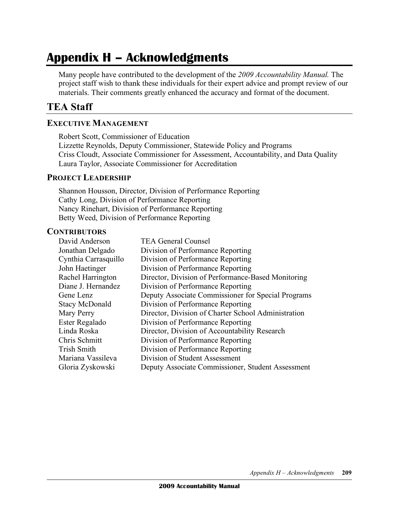# **Appendix H – Acknowledgments**

 Many people have contributed to the development of the *2009 Accountability Manual.* The project staff wish to thank these individuals for their expert advice and prompt review of our materials. Their comments greatly enhanced the accuracy and format of the document.

## **TEA Staff**

### **EXECUTIVE MANAGEMENT**

 Robert Scott, Commissioner of Education Lizzette Reynolds, Deputy Commissioner, Statewide Policy and Programs Criss Cloudt, Associate Commissioner for Assessment, Accountability, and Data Quality Laura Taylor, Associate Commissioner for Accreditation

#### **PROJECT LEADERSHIP**

 Shannon Housson, Director, Division of Performance Reporting Cathy Long, Division of Performance Reporting Nancy Rinehart, Division of Performance Reporting Betty Weed, Division of Performance Reporting

#### **CONTRIBUTORS**

| David Anderson        | <b>TEA General Counsel</b>                          |
|-----------------------|-----------------------------------------------------|
| Jonathan Delgado      | Division of Performance Reporting                   |
| Cynthia Carrasquillo  | Division of Performance Reporting                   |
| John Haetinger        | Division of Performance Reporting                   |
| Rachel Harrington     | Director, Division of Performance-Based Monitoring  |
| Diane J. Hernandez    | Division of Performance Reporting                   |
| Gene Lenz             | Deputy Associate Commissioner for Special Programs  |
| <b>Stacy McDonald</b> | Division of Performance Reporting                   |
| Mary Perry            | Director, Division of Charter School Administration |
| Ester Regalado        | Division of Performance Reporting                   |
| Linda Roska           | Director, Division of Accountability Research       |
| Chris Schmitt         | Division of Performance Reporting                   |
| <b>Trish Smith</b>    | Division of Performance Reporting                   |
| Mariana Vassileva     | Division of Student Assessment                      |
| Gloria Zyskowski      | Deputy Associate Commissioner, Student Assessment   |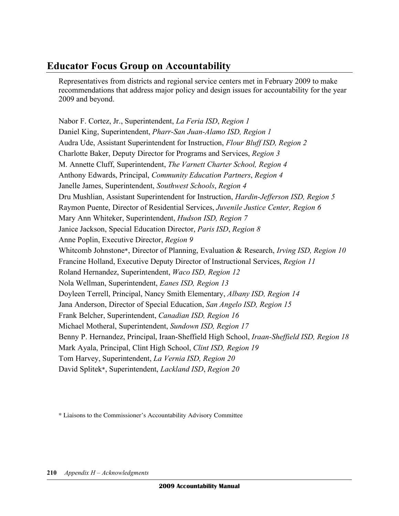# **Educator Focus Group on Accountability**

 Representatives from districts and regional service centers met in February 2009 to make recommendations that address major policy and design issues for accountability for the year 2009 and beyond.

 Nabor F. Cortez, Jr., Superintendent, *La Feria ISD*, *Region 1* Daniel King, Superintendent, *Pharr-San Juan-Alamo ISD, Region 1* Audra Ude, Assistant Superintendent for Instruction, *Flour Bluff ISD, Region 2* Charlotte Baker, Deputy Director for Programs and Services, *Region 3* M. Annette Cluff, Superintendent, *The Varnett Charter School, Region 4* Anthony Edwards, Principal, *Community Education Partners*, *Region 4* Janelle James, Superintendent, *Southwest Schools*, *Region 4* Dru Mushlian, Assistant Superintendent for Instruction, *Hardin-Jefferson ISD, Region 5* Raymon Puente, Director of Residential Services, *Juvenile Justice Center, Region 6* Janice Jackson, Special Education Director, *Paris ISD*, *Region 8* Anne Poplin, Executive Director, *Region 9* Whitcomb Johnstone\*, Director of Planning, Evaluation & Research, *Irving ISD, Region 10* Francine Holland, Executive Deputy Director of Instructional Services, *Region 11* Nola Wellman, Superintendent, *Eanes ISD, Region 13* Doyleen Terrell, Principal, Nancy Smith Elementary, *Albany ISD, Region 14* Jana Anderson, Director of Special Education, *San Angelo ISD, Region 15* Michael Motheral, Superintendent, *Sundown ISD, Region 17* Mark Ayala, Principal, Clint High School, *Clint ISD, Region 19* Tom Harvey, Superintendent, *La Vernia ISD, Region 20* Mary Ann Whiteker, Superintendent, *Hudson ISD, Region 7* Roland Hernandez, Superintendent, *Waco ISD, Region 12* Frank Belcher, Superintendent, *Canadian ISD, Region 16* Benny P. Hernandez, Principal, Iraan-Sheffield High School, *Iraan-Sheffield ISD, Region 18* David Splitek\*, Superintendent, *Lackland ISD*, *Region 20*

\* Liaisons to the Commissioner's Accountability Advisory Committee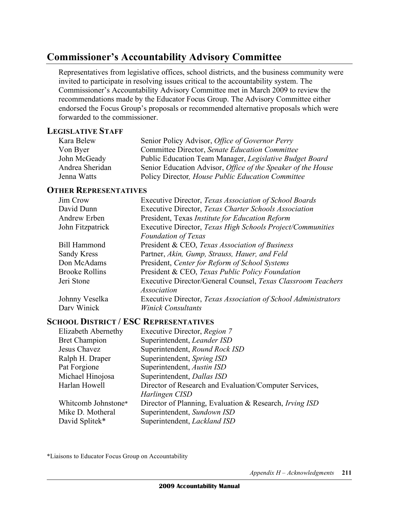# **Commissioner's Accountability Advisory Committee**

 Representatives from legislative offices, school districts, and the business community were invited to participate in resolving issues critical to the accountability system. The Commissioner's Accountability Advisory Committee met in March 2009 to review the recommendations made by the Educator Focus Group. The Advisory Committee either endorsed the Focus Group's proposals or recommended alternative proposals which were forwarded to the commissioner.

#### **LEGISLATIVE STAFF**

| Kara Belew      | Senior Policy Advisor, Office of Governor Perry                     |
|-----------------|---------------------------------------------------------------------|
| Von Byer        | Committee Director, Senate Education Committee                      |
| John McGeady    | Public Education Team Manager, Legislative Budget Board             |
| Andrea Sheridan | Senior Education Advisor, <i>Office of the Speaker of the House</i> |
| Jenna Watts     | Policy Director, House Public Education Committee                   |

### **OTHER REPRESENTATIVES**

| Executive Director, Texas Association of School Boards         |
|----------------------------------------------------------------|
| Executive Director, Texas Charter Schools Association          |
| President, Texas Institute for Education Reform                |
| Executive Director, Texas High Schools Project/Communities     |
| <b>Foundation of Texas</b>                                     |
| President & CEO, Texas Association of Business                 |
| Partner, Akin, Gump, Strauss, Hauer, and Feld                  |
| President, Center for Reform of School Systems                 |
| President & CEO, Texas Public Policy Foundation                |
| Executive Director/General Counsel, Texas Classroom Teachers   |
| <i>Association</i>                                             |
| Executive Director, Texas Association of School Administrators |
| <b>Winick Consultants</b>                                      |
|                                                                |

#### **SCHOOL DISTRICT / ESC REPRESENTATIVES**

| Elizabeth Abernethy  | Executive Director, Region 7                            |
|----------------------|---------------------------------------------------------|
| <b>Bret Champion</b> | Superintendent, Leander ISD                             |
| Jesus Chavez         | Superintendent, Round Rock ISD                          |
| Ralph H. Draper      | Superintendent, Spring ISD                              |
| Pat Forgione         | Superintendent, Austin ISD                              |
| Michael Hinojosa     | Superintendent, Dallas ISD                              |
| Harlan Howell        | Director of Research and Evaluation/Computer Services,  |
|                      | Harlingen CISD                                          |
| Whitcomb Johnstone*  | Director of Planning, Evaluation & Research, Irving ISD |
| Mike D. Motheral     | Superintendent, Sundown ISD                             |
| David Splitek*       | Superintendent, Lackland ISD                            |

\*Liaisons to Educator Focus Group on Accountability